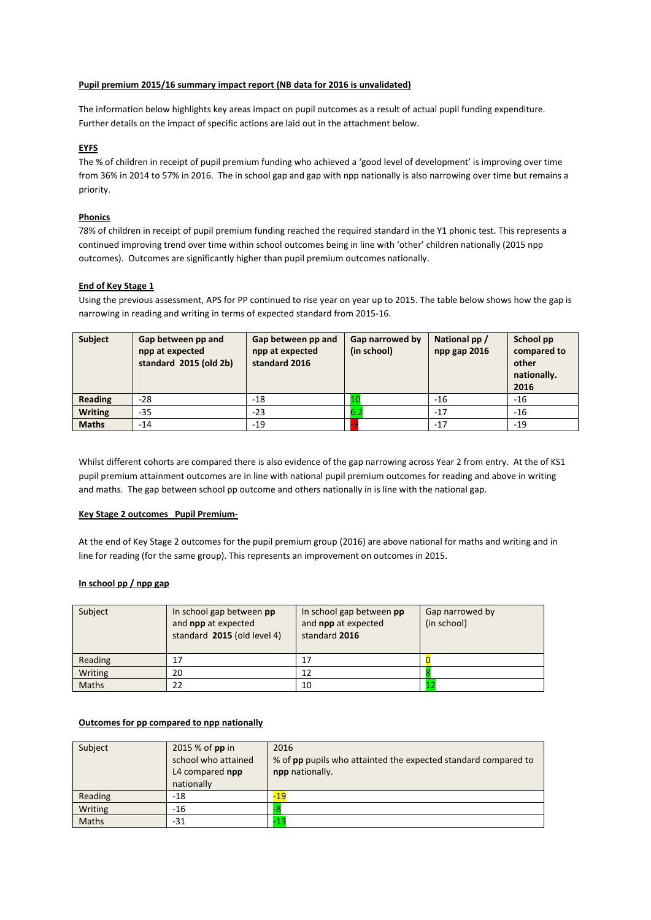#### **Pupil premium 2015/16 summary impact report (NB data for 2016 is unvalidated)**

The information below highlights key areas impact on pupil outcomes as a result of actual pupil funding expenditure. Further details on the impact of specific actions are laid out in the attachment below.

## **EYFS**

The % of children in receipt of pupil premium funding who achieved a 'good level of development' is improving over time from 36% in 2014 to 57% in 2016. The in school gap and gap with npp nationally is also narrowing over time but remains a priority.

#### **Phonics**

78% of children in receipt of pupil premium funding reached the required standard in the Y1 phonic test. This represents a continued improving trend over time within school outcomes being in line with 'other' children nationally (2015 npp outcomes). Outcomes are significantly higher than pupil premium outcomes nationally.

## **End of Key Stage 1**

Using the previous assessment, APS for PP continued to rise year on year up to 2015. The table below shows how the gap is narrowing in reading and writing in terms of expected standard from 2015-16.

| <b>Subject</b> | Gap between pp and<br>npp at expected<br>standard 2015 (old 2b) | Gap between pp and<br>npp at expected<br>standard 2016 | Gap narrowed by<br>(in school) | National pp /<br>npp gap 2016 | School pp<br>compared to<br>other<br>nationally.<br>2016 |
|----------------|-----------------------------------------------------------------|--------------------------------------------------------|--------------------------------|-------------------------------|----------------------------------------------------------|
| <b>Reading</b> | $-28$                                                           | $-18$                                                  |                                | $-16$                         | $-16$                                                    |
| <b>Writing</b> | $-35$                                                           | $-23$                                                  | b.Z                            | $-17$                         | $-16$                                                    |
| <b>Maths</b>   | -14                                                             | $-19$                                                  |                                | $-17$                         | $-19$                                                    |

Whilst different cohorts are compared there is also evidence of the gap narrowing across Year 2 from entry. At the of KS1 pupil premium attainment outcomes are in line with national pupil premium outcomes for reading and above in writing and maths. The gap between school pp outcome and others nationally in is line with the national gap.

#### **Key Stage 2 outcomes Pupil Premium-**

At the end of Key Stage 2 outcomes for the pupil premium group (2016) are above national for maths and writing and in line for reading (for the same group). This represents an improvement on outcomes in 2015.

#### **In school pp / npp gap**

| Subject      | In school gap between pp<br>and <b>npp</b> at expected<br>standard 2015 (old level 4) | In school gap between pp<br>and <b>npp</b> at expected<br>standard 2016 | Gap narrowed by<br>(in school) |
|--------------|---------------------------------------------------------------------------------------|-------------------------------------------------------------------------|--------------------------------|
| Reading      | 17                                                                                    |                                                                         |                                |
| Writing      | 20                                                                                    | 12                                                                      |                                |
| <b>Maths</b> | 22                                                                                    | 10                                                                      |                                |

#### **Outcomes for pp compared to npp nationally**

| Subject      | 2015 % of pp in<br>school who attained<br>L4 compared npp<br>nationally | 2016<br>% of pp pupils who attainted the expected standard compared to<br>npp nationally. |
|--------------|-------------------------------------------------------------------------|-------------------------------------------------------------------------------------------|
| Reading      | -18                                                                     | $-19$                                                                                     |
| Writing      | -16                                                                     |                                                                                           |
| <b>Maths</b> | -31                                                                     |                                                                                           |